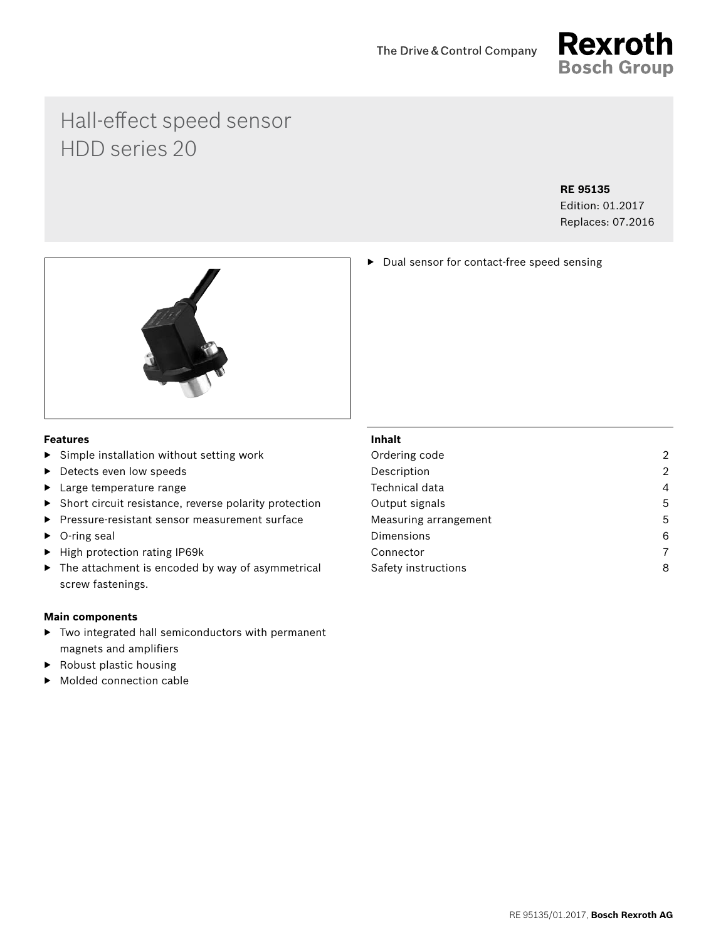

# Hall-effect speed sensor HDD series 20

### **RE 95135**

Edition: 01.2017 Replaces: 07.2016

▶ Dual sensor for contact-free speed sensing



## **Features**

- ▶ Simple installation without setting work
- ▶ Detects even low speeds
- ▶ Large temperature range
- ▶ Short circuit resistance, reverse polarity protection
- ▶ Pressure-resistant sensor measurement surface
- ▶ O-ring seal
- ▶ High protection rating IP69k
- $\blacktriangleright$  The attachment is encoded by way of asymmetrical screw fastenings.

#### **Main components**

- ▶ Two integrated hall semiconductors with permanent magnets and amplifiers
- $\blacktriangleright$  Robust plastic housing
- Molded connection cable

## **Inhalt**

| $\overline{2}$ |
|----------------|
| $\overline{2}$ |
| 4              |
| 5              |
| 5              |
| 6              |
| 7              |
| 8              |
|                |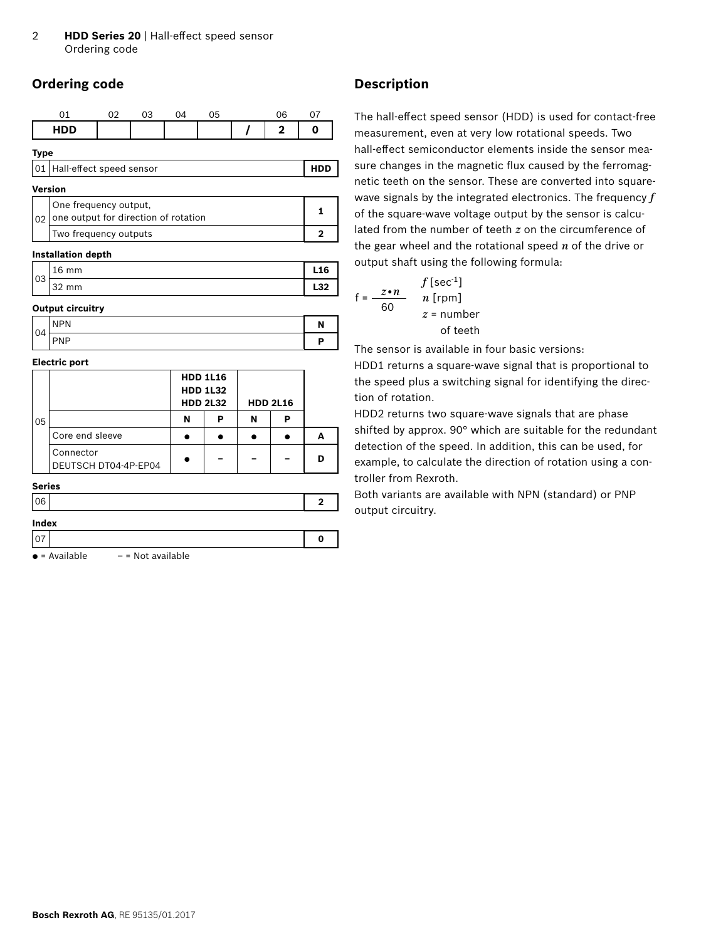# <span id="page-1-0"></span>**Ordering code**

| Λ1          | ሰን | 03 | Ωû | 05 | 06 | Λ7 |
|-------------|----|----|----|----|----|----|
| <b>HDD</b>  |    |    |    |    | ◚  |    |
| <b>Type</b> |    |    |    |    |    |    |

| 01   Hall-effect speed sensor |
|-------------------------------|
|-------------------------------|

# **Version**

| One frequency output,<br>$ 02 $ one output for direction of rotation |  |
|----------------------------------------------------------------------|--|
| Two frequency outputs                                                |  |

#### **Installation depth**

| $\sim$ | $\sim$<br>mm<br>∸ | 16       |
|--------|-------------------|----------|
| ◡◡     | $\sim$<br>mm      | מכ<br>94 |

#### **Output circuitry**

| 04 | <b>NPN</b> | N |
|----|------------|---|
|    | <b>PNP</b> | D |

#### **Electric port**

|    |                                   |   | <b>HDD 1L16</b><br><b>HDD 1L32</b><br><b>HDD 2L32</b> |   | <b>HDD 2L16</b> |  |
|----|-----------------------------------|---|-------------------------------------------------------|---|-----------------|--|
| 05 |                                   | N | P                                                     | N | Р               |  |
|    | Core end sleeve                   |   |                                                       |   |                 |  |
|    | Connector<br>DEUTSCH DT04-4P-EP04 |   |                                                       |   |                 |  |

#### **Series**

| <b>Indev</b> |  |
|--------------|--|

| шчел |  |  |  |
|------|--|--|--|
|      |  |  |  |

 $\bullet$  = Available  $-$  = Not available

# **Description**

The hall-effect speed sensor (HDD) is used for contact-free measurement, even at very low rotational speeds. Two hall-effect semiconductor elements inside the sensor measure changes in the magnetic flux caused by the ferromagnetic teeth on the sensor. These are converted into squarewave signals by the integrated electronics. The frequency *f* of the square-wave voltage output by the sensor is calculated from the number of teeth *z* on the circumference of the gear wheel and the rotational speed *n* of the drive or output shaft using the following formula:

$$
f = \frac{z \cdot n}{60} \qquad \begin{array}{c} f[\sec^{-1}] \\ n [\text{rpm}] \\ z = \text{number} \\ \text{of teeth} \end{array}
$$

The sensor is available in four basic versions:

HDD1 returns a square-wave signal that is proportional to the speed plus a switching signal for identifying the direction of rotation.

HDD2 returns two square-wave signals that are phase shifted by approx. 90° which are suitable for the redundant detection of the speed. In addition, this can be used, for example, to calculate the direction of rotation using a controller from Rexroth.

Both variants are available with NPN (standard) or PNP output circuitry.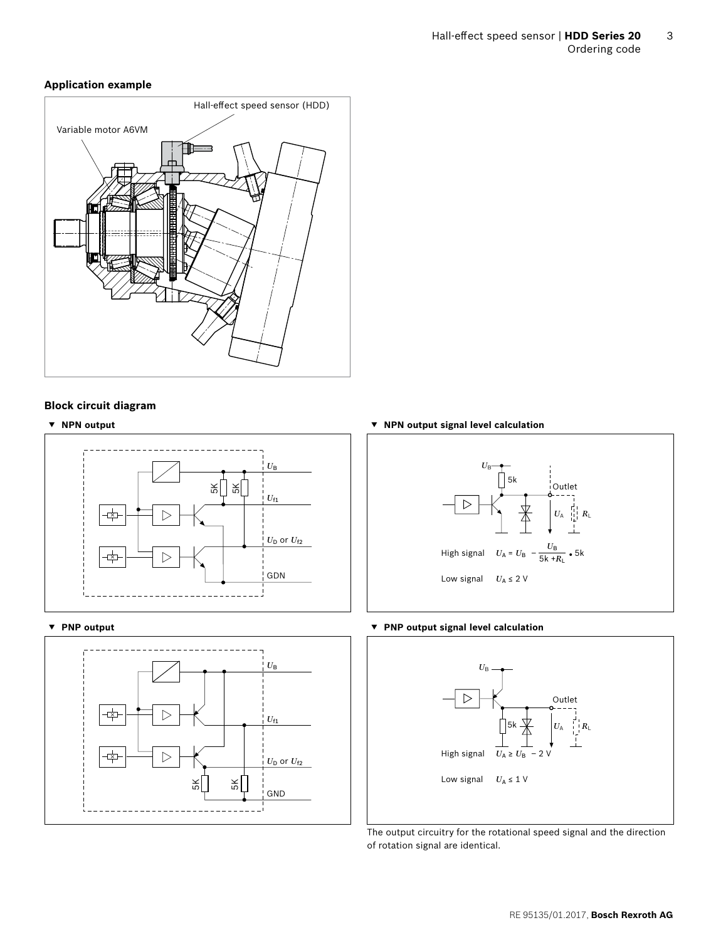# **Application example**



#### **Block circuit diagram**





**▼ NPN output ▼ NPN output signal level calculation**



#### **▼ PNP output ▼ PNP output signal level calculation**



The output circuitry for the rotational speed signal and the direction of rotation signal are identical.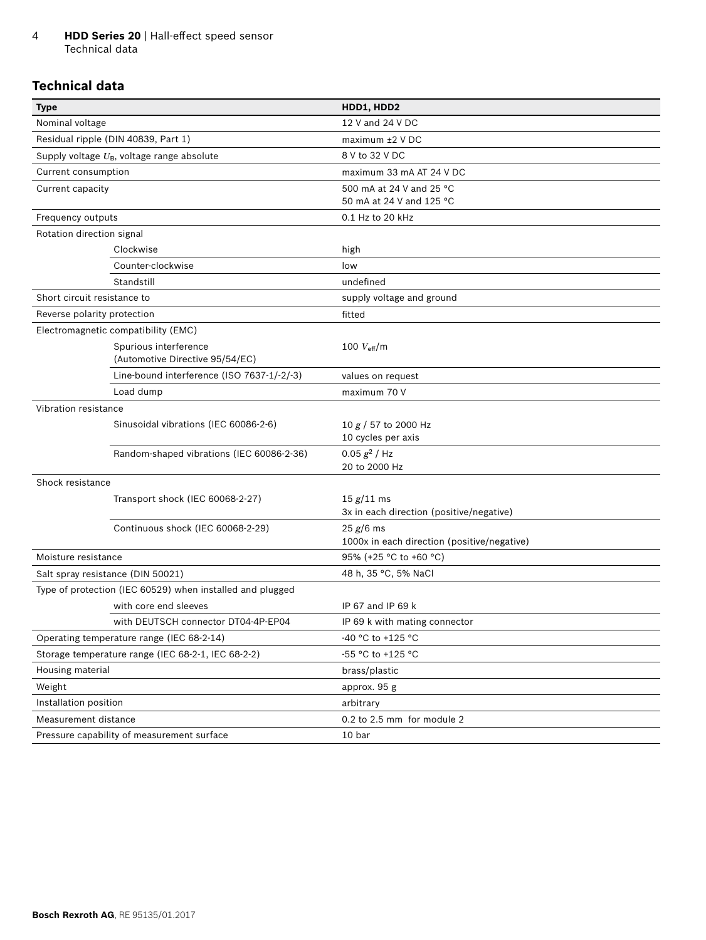#### <span id="page-3-0"></span>4 **HDD Series 20** | Hall-effect speed sensor Technical data

# **Technical data**

| <b>Type</b>                 |                                                           | HDD1, HDD2                                  |
|-----------------------------|-----------------------------------------------------------|---------------------------------------------|
| Nominal voltage             |                                                           | 12 V and 24 V DC                            |
|                             | Residual ripple (DIN 40839, Part 1)                       | $maximum \pm 2$ V DC                        |
|                             | Supply voltage $U_B$ , voltage range absolute             | 8 V to 32 V DC                              |
| Current consumption         |                                                           | maximum 33 mA AT 24 V DC                    |
| Current capacity            |                                                           | 500 mA at 24 V and 25 °C                    |
|                             |                                                           | 50 mA at 24 V and 125 °C                    |
| Frequency outputs           |                                                           | 0.1 Hz to 20 kHz                            |
| Rotation direction signal   |                                                           |                                             |
|                             | Clockwise                                                 | high                                        |
|                             | Counter-clockwise                                         | low                                         |
|                             | Standstill                                                | undefined                                   |
| Short circuit resistance to |                                                           | supply voltage and ground                   |
| Reverse polarity protection |                                                           | fitted                                      |
|                             | Electromagnetic compatibility (EMC)                       |                                             |
|                             | Spurious interference                                     | 100 $V_{\text{eff}}/m$                      |
|                             | (Automotive Directive 95/54/EC)                           |                                             |
|                             | Line-bound interference (ISO 7637-1/-2/-3)                | values on request                           |
|                             | Load dump                                                 | maximum 70 V                                |
| Vibration resistance        |                                                           |                                             |
|                             | Sinusoidal vibrations (IEC 60086-2-6)                     | 10 $g/$ 57 to 2000 Hz                       |
|                             |                                                           | 10 cycles per axis                          |
|                             | Random-shaped vibrations (IEC 60086-2-36)                 | $0.05 g2$ / Hz<br>20 to 2000 Hz             |
| Shock resistance            |                                                           |                                             |
|                             | Transport shock (IEC 60068-2-27)                          | 15 g/11 ms                                  |
|                             |                                                           | 3x in each direction (positive/negative)    |
|                             | Continuous shock (IEC 60068-2-29)                         | 25 g/6 ms                                   |
|                             |                                                           | 1000x in each direction (positive/negative) |
| Moisture resistance         |                                                           | 95% (+25 °C to +60 °C)                      |
|                             | Salt spray resistance (DIN 50021)                         | 48 h, 35 °C, 5% NaCl                        |
|                             | Type of protection (IEC 60529) when installed and plugged |                                             |
|                             | with core end sleeves                                     | IP 67 and IP 69 k                           |
|                             | with DEUTSCH connector DT04-4P-EP04                       | IP 69 k with mating connector               |
|                             | Operating temperature range (IEC 68-2-14)                 | -40 °C to +125 °C                           |
|                             | Storage temperature range (IEC 68-2-1, IEC 68-2-2)        | -55 °C to +125 °C                           |
| Housing material            |                                                           | brass/plastic                               |
| Weight                      |                                                           | approx. 95 g                                |
| Installation position       |                                                           | arbitrary                                   |
| Measurement distance        |                                                           | 0.2 to 2.5 mm for module 2                  |
|                             | Pressure capability of measurement surface                | 10 bar                                      |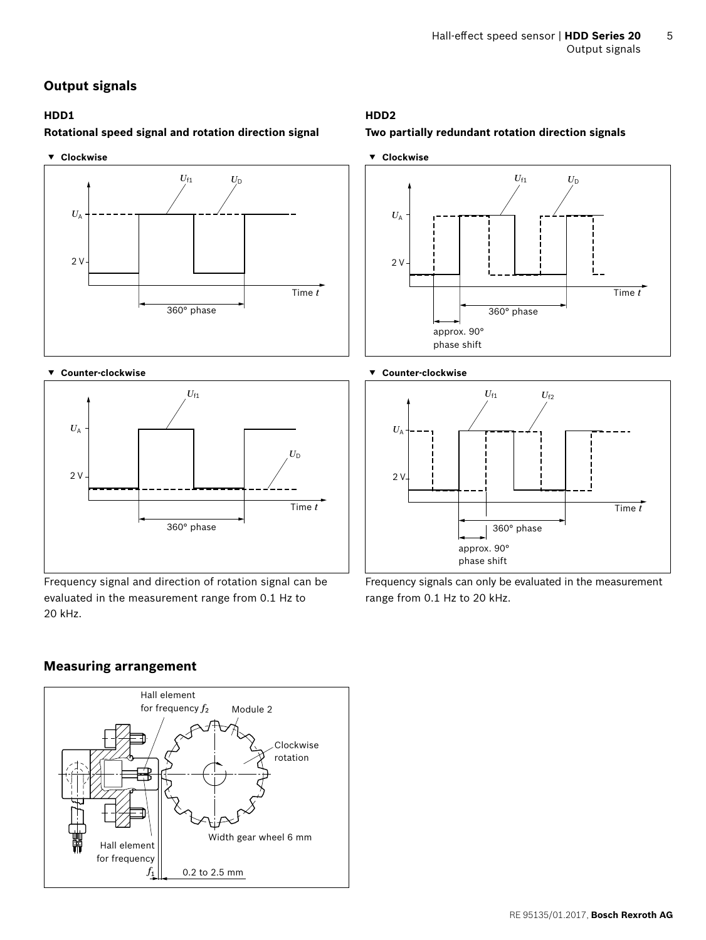# <span id="page-4-0"></span>**Output signals**

# **Rotational speed signal and rotation direction signal Two partially redundant rotation direction signals**





#### **▼ Counter-clockwise ▼ Counter-clockwise**



Frequency signal and direction of rotation signal can be evaluated in the measurement range from 0.1 Hz to 20 kHz.

# **HDD1 HDD2**







Frequency signals can only be evaluated in the measurement range from 0.1 Hz to 20 kHz.

## **Measuring arrangement**

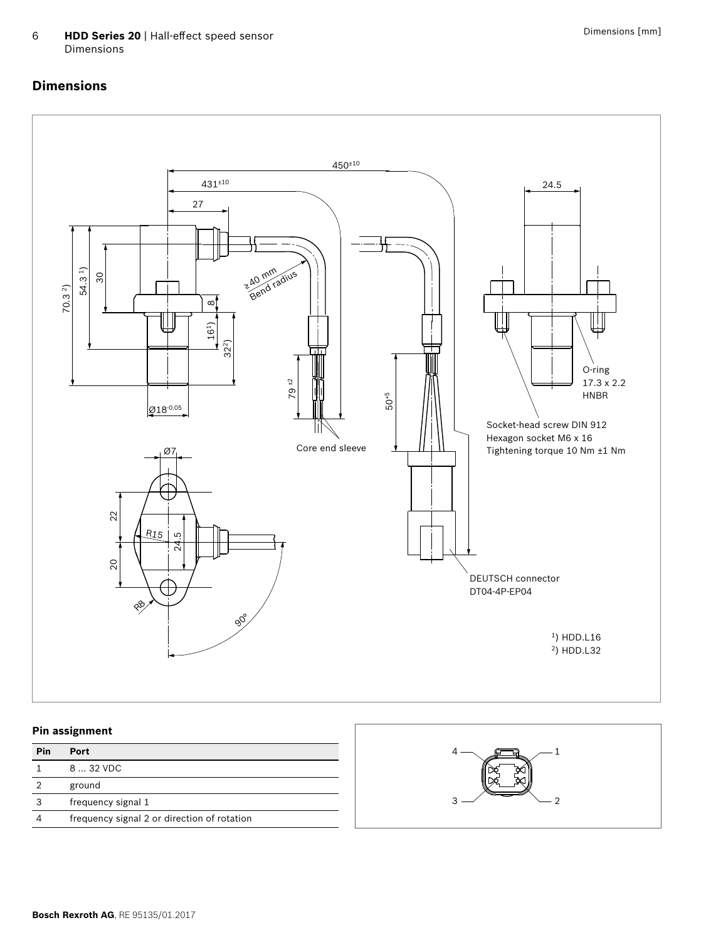<span id="page-5-0"></span>

### **Pin assignment**

| Pin | Port                                        |
|-----|---------------------------------------------|
|     | $832$ VDC                                   |
|     | ground                                      |
|     | frequency signal 1                          |
|     | frequency signal 2 or direction of rotation |

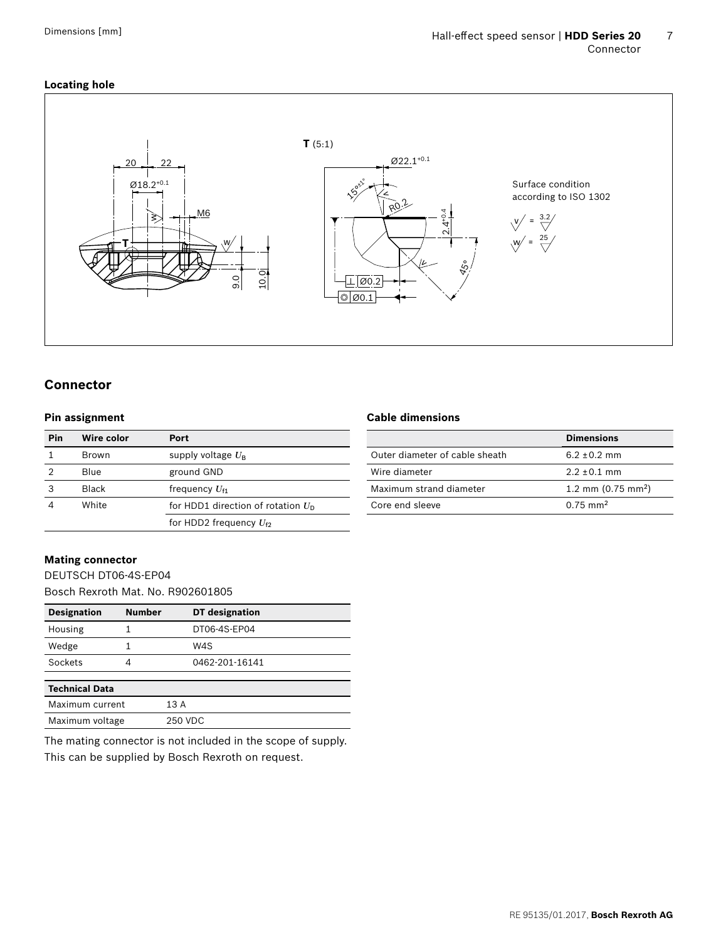# <span id="page-6-0"></span>**Locating hole**



# **Connector**

#### **Pin assignment**

| Pin | <b>Wire color</b> | Port                                          |
|-----|-------------------|-----------------------------------------------|
|     | <b>Brown</b>      | supply voltage $U_{\rm B}$                    |
|     | Blue              | ground GND                                    |
| 3   | <b>Black</b>      | frequency $U_{f1}$                            |
|     | White             | for HDD1 direction of rotation $U_{\text{D}}$ |
|     |                   | for HDD2 frequency $U_{f2}$                   |

#### **Cable dimensions**

|                                | <b>Dimensions</b>            |
|--------------------------------|------------------------------|
| Outer diameter of cable sheath | $6.2 + 0.2$ mm               |
| Wire diameter                  | $2.2 + 0.1$ mm               |
| Maximum strand diameter        | 1.2 mm $(0.75 \text{ mm}^2)$ |
| Core end sleeve                | $0.75 \text{ mm}^2$          |
|                                |                              |

# **Mating connector**

DEUTSCH DT06-4S-EP04 Bosch Rexroth Mat. No. R902601805

| <b>Designation</b>    | <b>Number</b> | <b>DT</b> designation |
|-----------------------|---------------|-----------------------|
| Housing               |               | DT06-4S-EP04          |
| Wedge                 |               | W4S                   |
| Sockets               | 4             | 0462-201-16141        |
| <b>Technical Data</b> |               |                       |
| Maximum current       |               | 13 A                  |
| Maximum voltage       |               | 250 VDC               |

The mating connector is not included in the scope of supply. This can be supplied by Bosch Rexroth on request.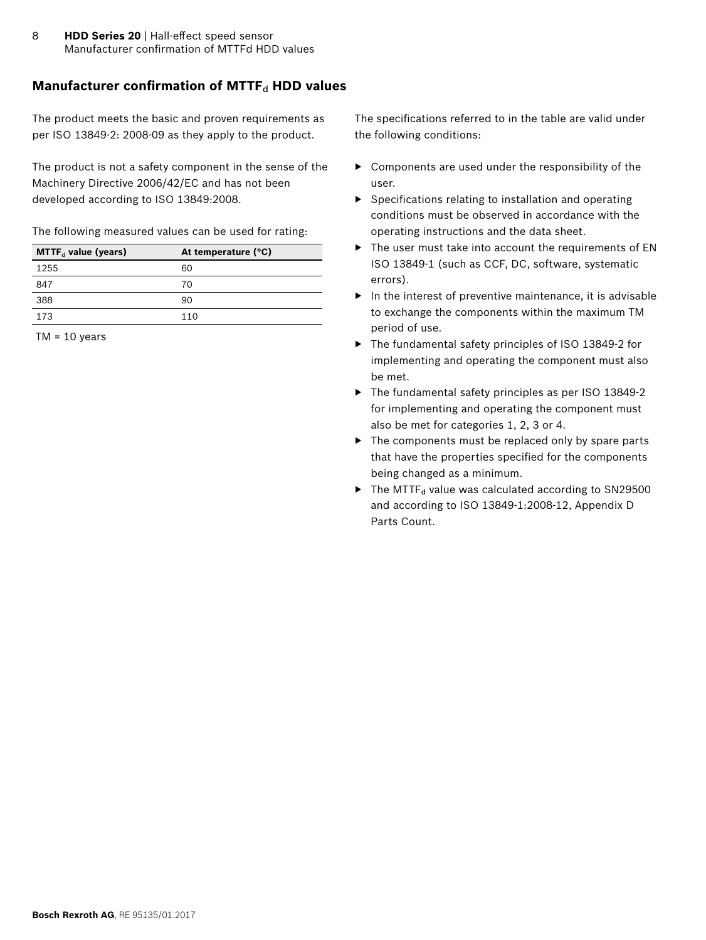# <span id="page-7-0"></span>**Manufacturer confirmation of MTTF<sub>d</sub> HDD values**

The product meets the basic and proven requirements as per ISO 13849-2: 2008-09 as they apply to the product.

The product is not a safety component in the sense of the Machinery Directive 2006/42/EC and has not been developed according to ISO 13849:2008.

The following measured values can be used for rating:

| $MTTF_d$ value (years) | At temperature (°C) |
|------------------------|---------------------|
| 1255                   | 60                  |
| 847                    | 70                  |
| 388                    | 90                  |
| 173                    | 110                 |
|                        |                     |

 $TM = 10$  years

The specifications referred to in the table are valid under the following conditions:

- ▶ Components are used under the responsibility of the user.
- ▶ Specifications relating to installation and operating conditions must be observed in accordance with the operating instructions and the data sheet.
- ▶ The user must take into account the requirements of EN ISO 13849-1 (such as CCF, DC, software, systematic errors).
- $\blacktriangleright$  In the interest of preventive maintenance, it is advisable to exchange the components within the maximum TM period of use.
- ▶ The fundamental safety principles of ISO 13849-2 for implementing and operating the component must also be met.
- ▶ The fundamental safety principles as per ISO 13849-2 for implementing and operating the component must also be met for categories 1, 2, 3 or 4.
- ▶ The components must be replaced only by spare parts that have the properties specified for the components being changed as a minimum.
- $\blacktriangleright$  The MTTF<sub>d</sub> value was calculated according to SN29500 and according to ISO 13849-1:2008-12, Appendix D Parts Count.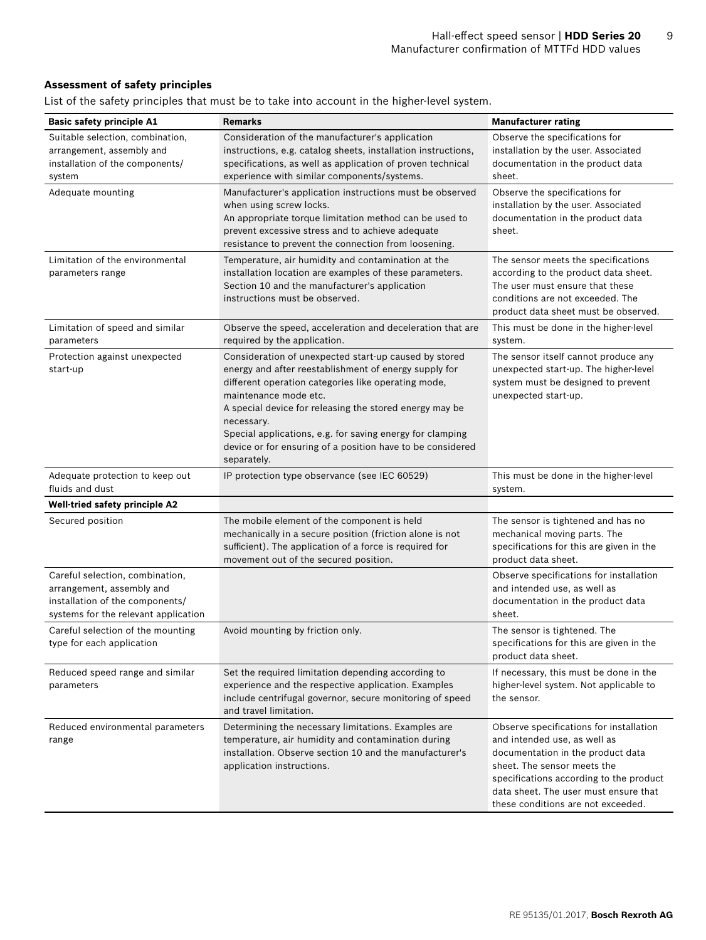### **Assessment of safety principles**

List of the safety principles that must be to take into account in the higher-level system.

| <b>Basic safety principle A1</b>                                                                                                        | <b>Remarks</b>                                                                                                                                                                                                                                                                                                                                                                                                    | <b>Manufacturer rating</b>                                                                                                                                                                                                                                            |
|-----------------------------------------------------------------------------------------------------------------------------------------|-------------------------------------------------------------------------------------------------------------------------------------------------------------------------------------------------------------------------------------------------------------------------------------------------------------------------------------------------------------------------------------------------------------------|-----------------------------------------------------------------------------------------------------------------------------------------------------------------------------------------------------------------------------------------------------------------------|
| Suitable selection, combination,<br>arrangement, assembly and<br>installation of the components/<br>system                              | Consideration of the manufacturer's application<br>instructions, e.g. catalog sheets, installation instructions,<br>specifications, as well as application of proven technical<br>experience with similar components/systems.                                                                                                                                                                                     | Observe the specifications for<br>installation by the user. Associated<br>documentation in the product data<br>sheet.                                                                                                                                                 |
| Adequate mounting                                                                                                                       | Manufacturer's application instructions must be observed<br>when using screw locks.<br>An appropriate torque limitation method can be used to<br>prevent excessive stress and to achieve adequate<br>resistance to prevent the connection from loosening.                                                                                                                                                         | Observe the specifications for<br>installation by the user. Associated<br>documentation in the product data<br>sheet.                                                                                                                                                 |
| Limitation of the environmental<br>parameters range                                                                                     | Temperature, air humidity and contamination at the<br>installation location are examples of these parameters.<br>Section 10 and the manufacturer's application<br>instructions must be observed.                                                                                                                                                                                                                  | The sensor meets the specifications<br>according to the product data sheet.<br>The user must ensure that these<br>conditions are not exceeded. The<br>product data sheet must be observed.                                                                            |
| Limitation of speed and similar<br>parameters                                                                                           | Observe the speed, acceleration and deceleration that are<br>required by the application.                                                                                                                                                                                                                                                                                                                         | This must be done in the higher-level<br>system.                                                                                                                                                                                                                      |
| Protection against unexpected<br>start-up                                                                                               | Consideration of unexpected start-up caused by stored<br>energy and after reestablishment of energy supply for<br>different operation categories like operating mode,<br>maintenance mode etc.<br>A special device for releasing the stored energy may be<br>necessary.<br>Special applications, e.g. for saving energy for clamping<br>device or for ensuring of a position have to be considered<br>separately. | The sensor itself cannot produce any<br>unexpected start-up. The higher-level<br>system must be designed to prevent<br>unexpected start-up.                                                                                                                           |
| Adequate protection to keep out<br>fluids and dust                                                                                      | IP protection type observance (see IEC 60529)                                                                                                                                                                                                                                                                                                                                                                     | This must be done in the higher-level<br>system.                                                                                                                                                                                                                      |
| <b>Well-tried safety principle A2</b>                                                                                                   |                                                                                                                                                                                                                                                                                                                                                                                                                   |                                                                                                                                                                                                                                                                       |
| Secured position                                                                                                                        | The mobile element of the component is held<br>mechanically in a secure position (friction alone is not<br>sufficient). The application of a force is required for<br>movement out of the secured position.                                                                                                                                                                                                       | The sensor is tightened and has no<br>mechanical moving parts. The<br>specifications for this are given in the<br>product data sheet.                                                                                                                                 |
| Careful selection, combination,<br>arrangement, assembly and<br>installation of the components/<br>systems for the relevant application |                                                                                                                                                                                                                                                                                                                                                                                                                   | Observe specifications for installation<br>and intended use, as well as<br>documentation in the product data<br>sheet.                                                                                                                                                |
| Careful selection of the mounting<br>type for each application                                                                          | Avoid mounting by friction only.                                                                                                                                                                                                                                                                                                                                                                                  | The sensor is tightened. The<br>specifications for this are given in the<br>product data sheet.                                                                                                                                                                       |
| Reduced speed range and similar<br>parameters                                                                                           | Set the required limitation depending according to<br>experience and the respective application. Examples<br>include centrifugal governor, secure monitoring of speed<br>and travel limitation.                                                                                                                                                                                                                   | If necessary, this must be done in the<br>higher-level system. Not applicable to<br>the sensor.                                                                                                                                                                       |
| Reduced environmental parameters<br>range                                                                                               | Determining the necessary limitations. Examples are<br>temperature, air humidity and contamination during<br>installation. Observe section 10 and the manufacturer's<br>application instructions.                                                                                                                                                                                                                 | Observe specifications for installation<br>and intended use, as well as<br>documentation in the product data<br>sheet. The sensor meets the<br>specifications according to the product<br>data sheet. The user must ensure that<br>these conditions are not exceeded. |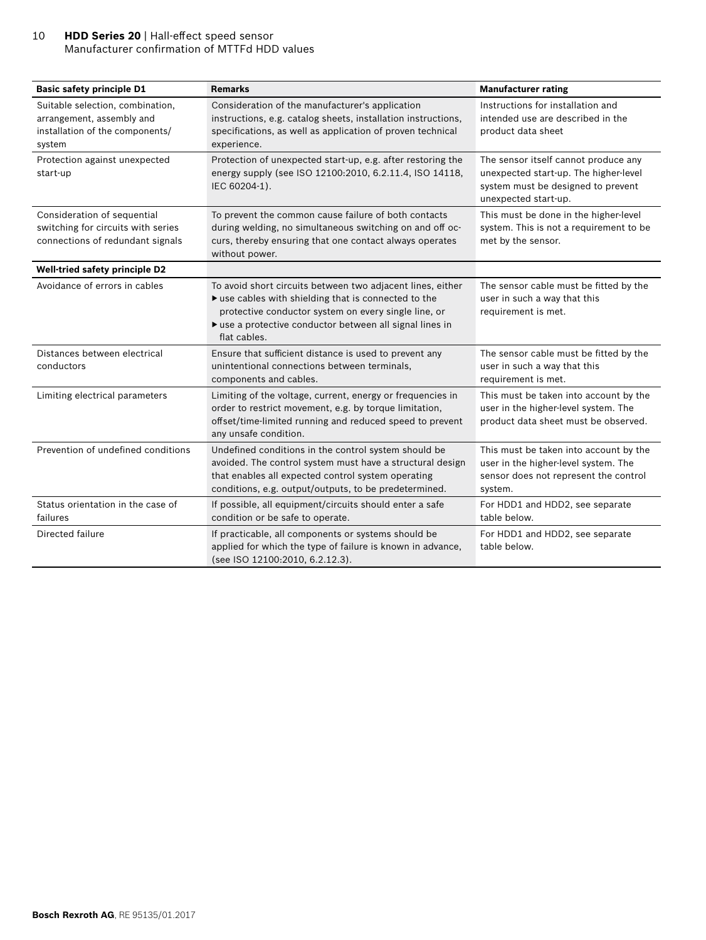#### 10 **HDD Series 20** | Hall-effect speed sensor Manufacturer confirmation of MTTFd HDD values

| <b>Basic safety principle D1</b>                                                                           | <b>Remarks</b>                                                                                                                                                                                                                                                             | <b>Manufacturer rating</b>                                                                                                                  |
|------------------------------------------------------------------------------------------------------------|----------------------------------------------------------------------------------------------------------------------------------------------------------------------------------------------------------------------------------------------------------------------------|---------------------------------------------------------------------------------------------------------------------------------------------|
| Suitable selection, combination,<br>arrangement, assembly and<br>installation of the components/<br>system | Consideration of the manufacturer's application<br>instructions, e.g. catalog sheets, installation instructions,<br>specifications, as well as application of proven technical<br>experience.                                                                              | Instructions for installation and<br>intended use are described in the<br>product data sheet                                                |
| Protection against unexpected<br>start-up                                                                  | Protection of unexpected start-up, e.g. after restoring the<br>energy supply (see ISO 12100:2010, 6.2.11.4, ISO 14118,<br>IEC 60204-1).                                                                                                                                    | The sensor itself cannot produce any<br>unexpected start-up. The higher-level<br>system must be designed to prevent<br>unexpected start-up. |
| Consideration of sequential<br>switching for circuits with series<br>connections of redundant signals      | To prevent the common cause failure of both contacts<br>during welding, no simultaneous switching on and off oc-<br>curs, thereby ensuring that one contact always operates<br>without power.                                                                              | This must be done in the higher-level<br>system. This is not a requirement to be<br>met by the sensor.                                      |
| <b>Well-tried safety principle D2</b>                                                                      |                                                                                                                                                                                                                                                                            |                                                                                                                                             |
| Avoidance of errors in cables                                                                              | To avoid short circuits between two adjacent lines, either<br>$\blacktriangleright$ use cables with shielding that is connected to the<br>protective conductor system on every single line, or<br>▶ use a protective conductor between all signal lines in<br>flat cables. | The sensor cable must be fitted by the<br>user in such a way that this<br>requirement is met.                                               |
| Distances between electrical<br>conductors                                                                 | Ensure that sufficient distance is used to prevent any<br>unintentional connections between terminals,<br>components and cables.                                                                                                                                           | The sensor cable must be fitted by the<br>user in such a way that this<br>requirement is met.                                               |
| Limiting electrical parameters                                                                             | Limiting of the voltage, current, energy or frequencies in<br>order to restrict movement, e.g. by torque limitation,<br>offset/time-limited running and reduced speed to prevent<br>any unsafe condition.                                                                  | This must be taken into account by the<br>user in the higher-level system. The<br>product data sheet must be observed.                      |
| Prevention of undefined conditions                                                                         | Undefined conditions in the control system should be<br>avoided. The control system must have a structural design<br>that enables all expected control system operating<br>conditions, e.g. output/outputs, to be predetermined.                                           | This must be taken into account by the<br>user in the higher-level system. The<br>sensor does not represent the control<br>system.          |
| Status orientation in the case of<br>failures                                                              | If possible, all equipment/circuits should enter a safe<br>condition or be safe to operate.                                                                                                                                                                                | For HDD1 and HDD2, see separate<br>table below.                                                                                             |
| Directed failure                                                                                           | If practicable, all components or systems should be<br>applied for which the type of failure is known in advance,<br>(see ISO 12100:2010, 6.2.12.3).                                                                                                                       | For HDD1 and HDD2, see separate<br>table below.                                                                                             |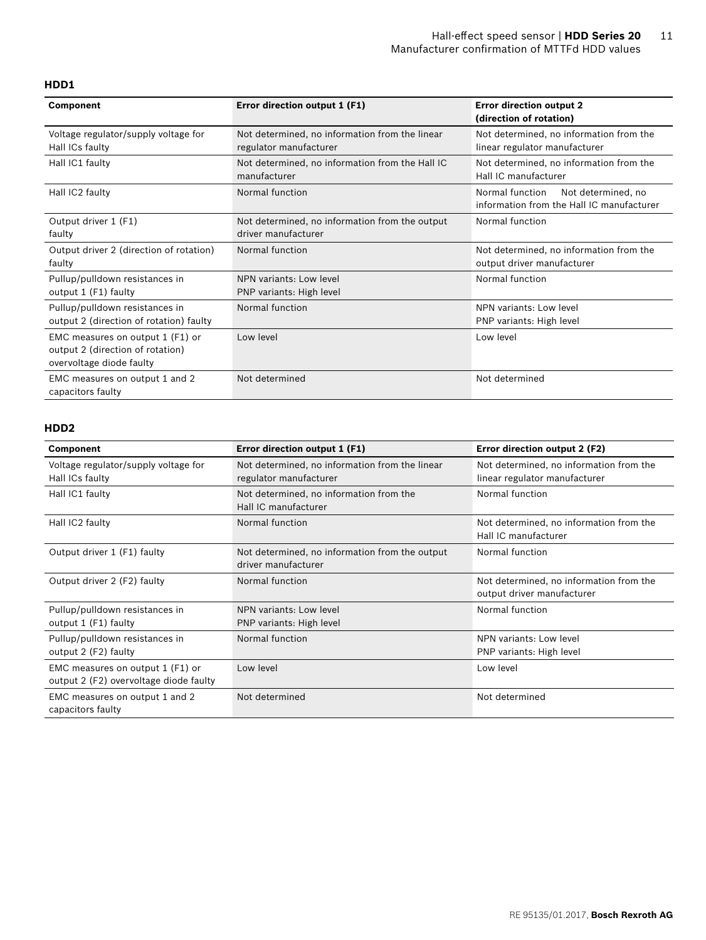#### **HDD1**

| <b>Component</b>                                                                                 | Error direction output 1 (F1)                                            | <b>Error direction output 2</b><br>(direction of rotation)                         |
|--------------------------------------------------------------------------------------------------|--------------------------------------------------------------------------|------------------------------------------------------------------------------------|
| Voltage regulator/supply voltage for<br>Hall ICs faulty                                          | Not determined, no information from the linear<br>regulator manufacturer | Not determined, no information from the<br>linear regulator manufacturer           |
| Hall IC1 faulty                                                                                  | Not determined, no information from the Hall IC<br>manufacturer          | Not determined, no information from the<br>Hall IC manufacturer                    |
| Hall IC2 faulty                                                                                  | Normal function                                                          | Normal function<br>Not determined, no<br>information from the Hall IC manufacturer |
| Output driver 1 (F1)<br>faulty                                                                   | Not determined, no information from the output<br>driver manufacturer    | Normal function                                                                    |
| Output driver 2 (direction of rotation)<br>faulty                                                | Normal function                                                          | Not determined, no information from the<br>output driver manufacturer              |
| Pullup/pulldown resistances in<br>output 1 (F1) faulty                                           | NPN variants: Low level<br>PNP variants: High level                      | Normal function                                                                    |
| Pullup/pulldown resistances in<br>output 2 (direction of rotation) faulty                        | Normal function                                                          | NPN variants: Low level<br>PNP variants: High level                                |
| EMC measures on output 1 (F1) or<br>output 2 (direction of rotation)<br>overvoltage diode faulty | Low level                                                                | Low level                                                                          |
| EMC measures on output 1 and 2<br>capacitors faulty                                              | Not determined                                                           | Not determined                                                                     |

# **HDD2**

| <b>Component</b>                                                           | Error direction output 1 (F1)                                            | Error direction output 2 (F2)                                            |
|----------------------------------------------------------------------------|--------------------------------------------------------------------------|--------------------------------------------------------------------------|
| Voltage regulator/supply voltage for<br>Hall ICs faulty                    | Not determined, no information from the linear<br>regulator manufacturer | Not determined, no information from the<br>linear regulator manufacturer |
| Hall IC1 faulty                                                            | Not determined, no information from the<br>Hall IC manufacturer          | Normal function                                                          |
| Hall IC2 faulty                                                            | Normal function                                                          | Not determined, no information from the<br>Hall IC manufacturer          |
| Output driver 1 (F1) faulty                                                | Not determined, no information from the output<br>driver manufacturer    | Normal function                                                          |
| Output driver 2 (F2) faulty                                                | Normal function                                                          | Not determined, no information from the<br>output driver manufacturer    |
| Pullup/pulldown resistances in<br>output 1 (F1) faulty                     | NPN variants: Low level<br>PNP variants: High level                      | Normal function                                                          |
| Pullup/pulldown resistances in<br>output 2 (F2) faulty                     | Normal function                                                          | NPN variants: Low level<br>PNP variants: High level                      |
| EMC measures on output 1 (F1) or<br>output 2 (F2) overvoltage diode faulty | Low level                                                                | Low level                                                                |
| EMC measures on output 1 and 2<br>capacitors faulty                        | Not determined                                                           | Not determined                                                           |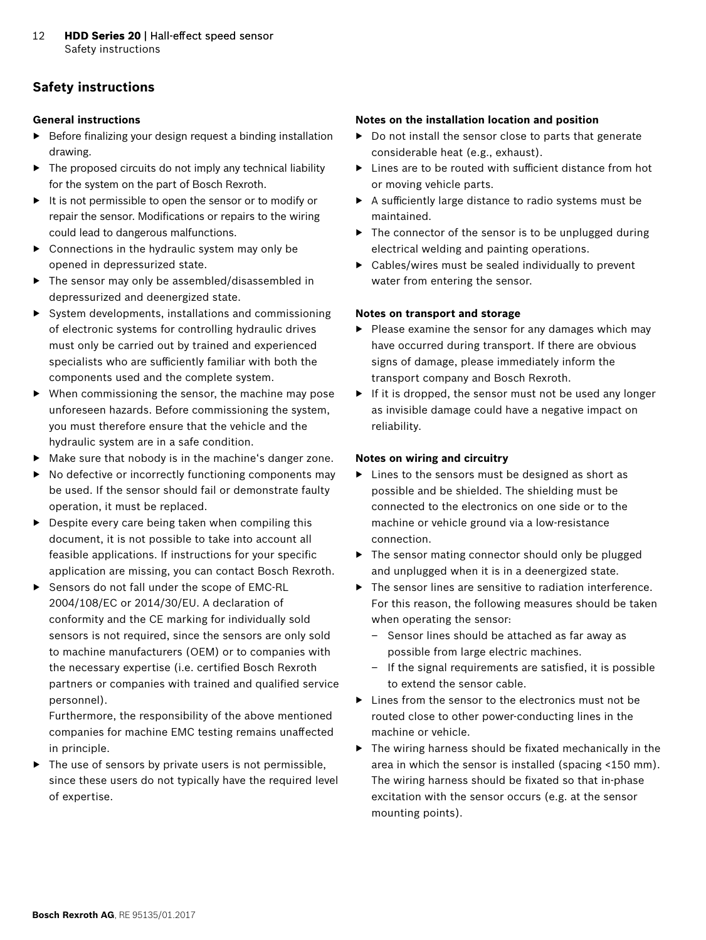# **Safety instructions**

#### **General instructions**

- ▶ Before finalizing your design request a binding installation drawing.
- $\triangleright$  The proposed circuits do not imply any technical liability for the system on the part of Bosch Rexroth.
- ▶ It is not permissible to open the sensor or to modify or repair the sensor. Modifications or repairs to the wiring could lead to dangerous malfunctions.
- $\triangleright$  Connections in the hydraulic system may only be opened in depressurized state.
- ▶ The sensor may only be assembled/disassembled in depressurized and deenergized state.
- $\triangleright$  System developments, installations and commissioning of electronic systems for controlling hydraulic drives must only be carried out by trained and experienced specialists who are sufficiently familiar with both the components used and the complete system.
- ▶ When commissioning the sensor, the machine may pose unforeseen hazards. Before commissioning the system, you must therefore ensure that the vehicle and the hydraulic system are in a safe condition.
- ▶ Make sure that nobody is in the machine's danger zone.
- ▶ No defective or incorrectly functioning components may be used. If the sensor should fail or demonstrate faulty operation, it must be replaced.
- $\triangleright$  Despite every care being taken when compiling this document, it is not possible to take into account all feasible applications. If instructions for your specific application are missing, you can contact Bosch Rexroth.
- ▶ Sensors do not fall under the scope of EMC-RL 2004/108/EC or 2014/30/EU. A declaration of conformity and the CE marking for individually sold sensors is not required, since the sensors are only sold to machine manufacturers (OEM) or to companies with the necessary expertise (i.e. certified Bosch Rexroth partners or companies with trained and qualified service personnel).

Furthermore, the responsibility of the above mentioned companies for machine EMC testing remains unaffected in principle.

▶ The use of sensors by private users is not permissible, since these users do not typically have the required level of expertise.

#### **Notes on the installation location and position**

- ▶ Do not install the sensor close to parts that generate considerable heat (e.g., exhaust).
- ▶ Lines are to be routed with sufficient distance from hot or moving vehicle parts.
- ▶ A sufficiently large distance to radio systems must be maintained.
- ▶ The connector of the sensor is to be unplugged during electrical welding and painting operations.
- $\triangleright$  Cables/wires must be sealed individually to prevent water from entering the sensor.

### **Notes on transport and storage**

- ▶ Please examine the sensor for any damages which may have occurred during transport. If there are obvious signs of damage, please immediately inform the transport company and Bosch Rexroth.
- ▶ If it is dropped, the sensor must not be used any longer as invisible damage could have a negative impact on reliability.

### **Notes on wiring and circuitry**

- ▶ Lines to the sensors must be designed as short as possible and be shielded. The shielding must be connected to the electronics on one side or to the machine or vehicle ground via a low-resistance connection.
- ▶ The sensor mating connector should only be plugged and unplugged when it is in a deenergized state.
- ▶ The sensor lines are sensitive to radiation interference. For this reason, the following measures should be taken when operating the sensor:
	- Sensor lines should be attached as far away as possible from large electric machines.
	- If the signal requirements are satisfied, it is possible to extend the sensor cable.
- ▶ Lines from the sensor to the electronics must not be routed close to other power-conducting lines in the machine or vehicle.
- ▶ The wiring harness should be fixated mechanically in the area in which the sensor is installed (spacing <150 mm). The wiring harness should be fixated so that in-phase excitation with the sensor occurs (e.g. at the sensor mounting points).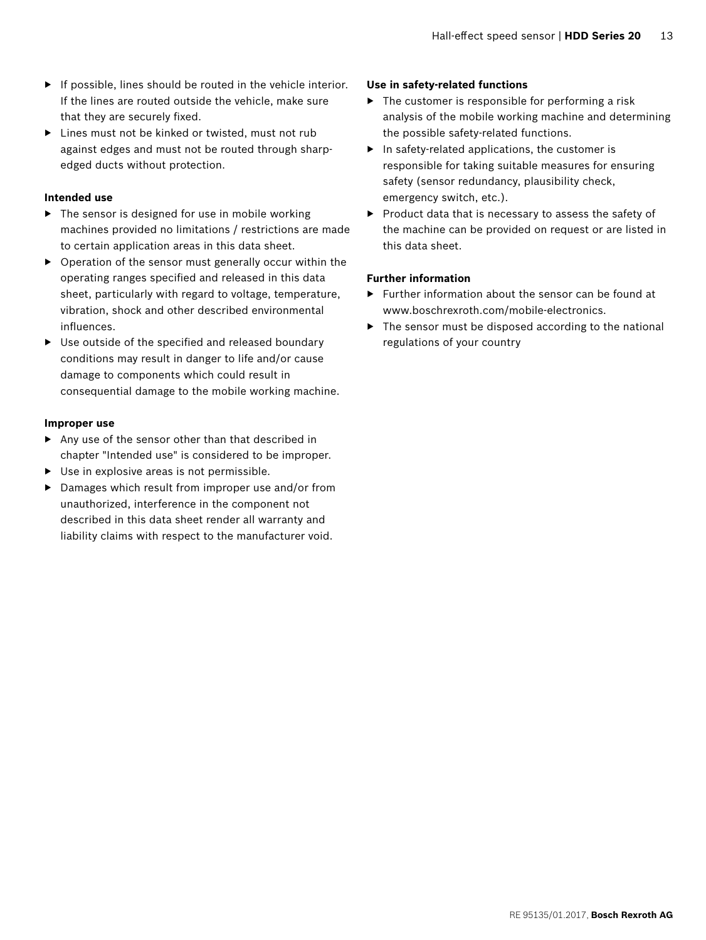- $\blacktriangleright$  If possible, lines should be routed in the vehicle interior. If the lines are routed outside the vehicle, make sure that they are securely fixed.
- ▶ Lines must not be kinked or twisted, must not rub against edges and must not be routed through sharpedged ducts without protection.

### **Intended use**

- ▶ The sensor is designed for use in mobile working machines provided no limitations / restrictions are made to certain application areas in this data sheet.
- ▶ Operation of the sensor must generally occur within the operating ranges specified and released in this data sheet, particularly with regard to voltage, temperature, vibration, shock and other described environmental influences.
- ▶ Use outside of the specified and released boundary conditions may result in danger to life and/or cause damage to components which could result in consequential damage to the mobile working machine.

### **Improper use**

- ▶ Any use of the sensor other than that described in chapter "Intended use" is considered to be improper.
- ▶ Use in explosive areas is not permissible.
- ▶ Damages which result from improper use and/or from unauthorized, interference in the component not described in this data sheet render all warranty and liability claims with respect to the manufacturer void.

### **Use in safety-related functions**

- $\blacktriangleright$  The customer is responsible for performing a risk analysis of the mobile working machine and determining the possible safety-related functions.
- $\blacktriangleright$  In safety-related applications, the customer is responsible for taking suitable measures for ensuring safety (sensor redundancy, plausibility check, emergency switch, etc.).
- ▶ Product data that is necessary to assess the safety of the machine can be provided on request or are listed in this data sheet.

### **Further information**

- ▶ Further information about the sensor can be found at www.boschrexroth.com/mobile-electronics.
- ▶ The sensor must be disposed according to the national regulations of your country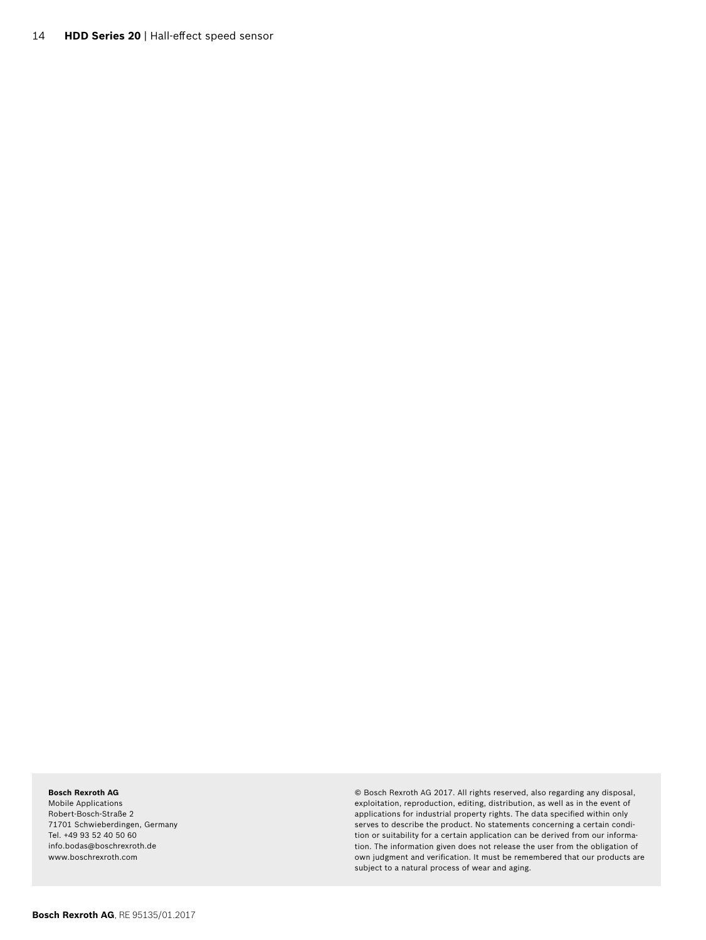#### **Bosch Rexroth AG**

Mobile Applications Robert-Bosch-Straße 2 71701 Schwieberdingen, Germany Tel. +49 93 52 40 50 60 info.bodas@boschrexroth.de www.boschrexroth.com

© Bosch Rexroth AG 2017. All rights reserved, also regarding any disposal, exploitation, reproduction, editing, distribution, as well as in the event of applications for industrial property rights. The data specified within only serves to describe the product. No statements concerning a certain condition or suitability for a certain application can be derived from our information. The information given does not release the user from the obligation of own judgment and verification. It must be remembered that our products are subject to a natural process of wear and aging.